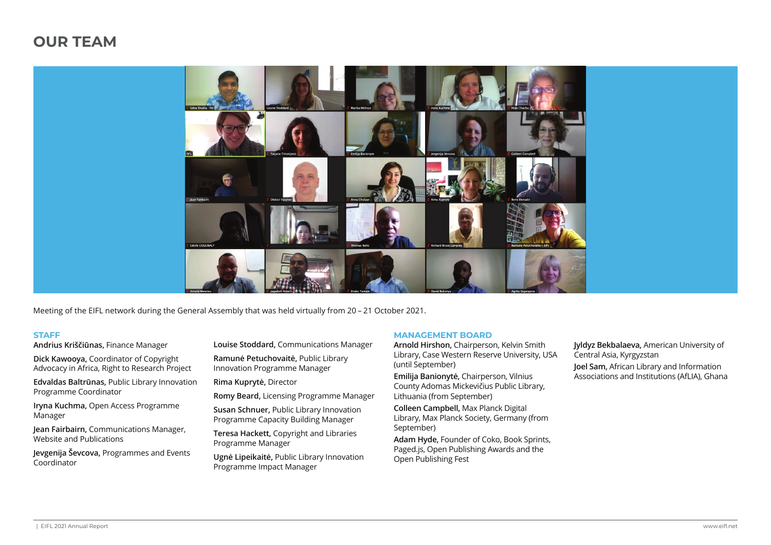# **OUR TEAM**



Meeting of the EIFL network during the General Assembly that was held virtually from 20 – 21 October 2021.

#### **STAFF**

**Andrius Kriščiūnas,** Finance Manager

**Dick Kawooya,** Coordinator of Copyright Advocacy in Africa, Right to Research Project

**Edvaldas Baltrūnas,** Public Library Innovation Programme Coordinator

**Iryna Kuchma,** Open Access Programme Manager

**Jean Fairbairn,** Communications Manager, Website and Publications

**Jevgenija Ševcova,** Programmes and Events Coordinator

**Louise Stoddard,** Communications Manager

**Ramunė Petuchovaitė,** Public Library Innovation Programme Manager

**Rima Kuprytė,** Director

**Romy Beard,** Licensing Programme Manager

**Susan Schnuer,** Public Library Innovation Programme Capacity Building Manager

**Teresa Hackett,** Copyright and Libraries Programme Manager

**Ugnė Lipeikaitė,** Public Library Innovation Programme Impact Manager

#### **MANAGEMENT BOARD**

**Arnold Hirshon,** Chairperson, Kelvin Smith Library, Case Western Reserve University, USA (until September)

**Emilija Banionytė,** Chairperson, Vilnius County Adomas Mickevičius Public Library, Lithuania (from September)

**Colleen Campbell,** Max Planck Digital Library, Max Planck Society, Germany (from September)

**Adam Hyde,** Founder of Coko, Book Sprints, Paged.js, Open Publishing Awards and the Open Publishing Fest

**Jyldyz Bekbalaeva,** American University of Central Asia, Kyrgyzstan **Joel Sam,** African Library and Information Associations and Institutions (AfLIA), Ghana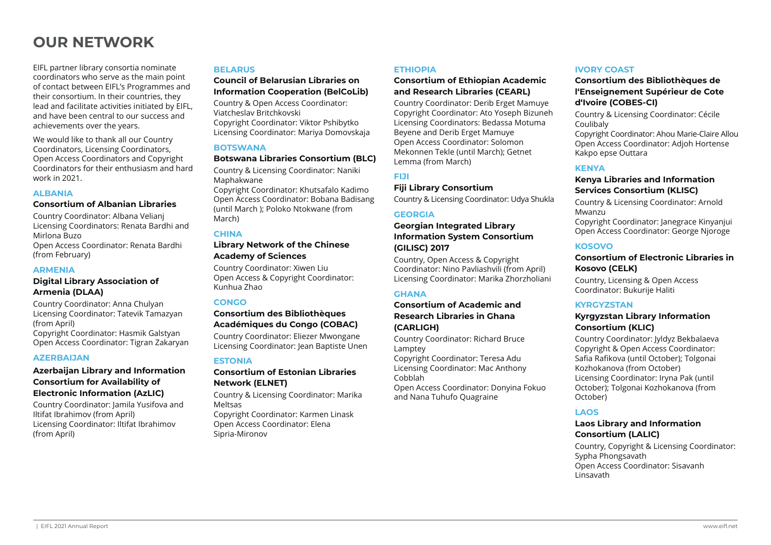# **OUR NETWORK**

EIFL partner library consortia nominate coordinators who serve as the main point of contact between EIFL's Programmes and their consortium. In their countries, they lead and facilitate activities initiated by EIFL, and have been central to our success and achievements over the years.

We would like to thank all our Country Coordinators, Licensing Coordinators, Open Access Coordinators and Copyright Coordinators for their enthusiasm and hard work in 2021.

## **ALBANIA**

# **Consortium of Albanian Libraries**

Country Coordinator: Albana Velianj Licensing Coordinators: Renata Bardhi and Mirlona Buzo Open Access Coordinator: Renata Bardhi (from February)

## **ARMENIA**

# **Digital Library Association of Armenia (DLAA)**

Country Coordinator: Anna Chulyan Licensing Coordinator: Tatevik Tamazyan (from April) Copyright Coordinator: Hasmik Galstyan Open Access Coordinator: Tigran Zakaryan

#### **AZERBAIJAN**

## **Azerbaijan Library and Information Consortium for Availability of Electronic Information (AzLIC)**

Country Coordinator: Jamila Yusifova and Iltifat Ibrahimov (from April) Licensing Coordinator: Iltifat Ibrahimov (from April)

## **BELARUS**

## **Council of Belarusian Libraries on Information Cooperation (BelCoLib)**

Country & Open Access Coordinator: Viatcheslav Britchkovski Copyright Coordinator: Viktor Pshibytko Licensing Coordinator: Mariya Domovskaja

## **BOTSWANA**

## **Botswana Libraries Consortium (BLC)**

Country & Licensing Coordinator: Naniki Maphakwane Copyright Coordinator: Khutsafalo Kadimo Open Access Coordinator: Bobana Badisang

(until March ); Poloko Ntokwane (from March)

## **CHINA**

## **Library Network of the Chinese Academy of Sciences**

Country Coordinator: Xiwen Liu Open Access & Copyright Coordinator: Kunhua Zhao

## **CONGO**

# **Consortium des Bibliothèques Académiques du Congo (COBAC)**

Country Coordinator: Eliezer Mwongane Licensing Coordinator: Jean Baptiste Unen

# **ESTONIA**

# **Consortium of Estonian Libraries Network (ELNET)**

Country & Licensing Coordinator: Marika Meltsas

Copyright Coordinator: Karmen Linask Open Access Coordinator: Elena Sipria-Mironov

#### **ETHIOPIA**

# **Consortium of Ethiopian Academic and Research Libraries (CEARL)**

Country Coordinator: Derib Erget Mamuye Copyright Coordinator: Ato Yoseph Bizuneh Licensing Coordinators: Bedassa Motuma Beyene and Derib Erget Mamuye Open Access Coordinator: Solomon Mekonnen Tekle (until March); Getnet Lemma (from March)

**FIJI**

## **Fiji Library Consortium**

Country & Licensing Coordinator: Udya Shukla

# **GEORGIA**

# **Georgian Integrated Library Information System Consortium (GILISC) 2017**

Country, Open Access & Copyright Coordinator: Nino Pavliashvili (from April) Licensing Coordinator: Marika Zhorzholiani

# **GHANA**

# **Consortium of Academic and Research Libraries in Ghana (CARLIGH)**

Country Coordinator: Richard Bruce Lamptey

Copyright Coordinator: Teresa Adu Licensing Coordinator: Mac Anthony Cobblah

Open Access Coordinator: Donyina Fokuo and Nana Tuhufo Quagraine

# **IVORY COAST**

## **Consortium des Bibliothèques de l'Enseignement Supérieur de Cote d'Ivoire (COBES-CI)**

Country & Licensing Coordinator: Cécile Coulibaly

Copyright Coordinator: Ahou Marie-Claire Allou Open Access Coordinator: Adjoh Hortense Kakpo epse Outtara

# **KENYA**

# **Kenya Libraries and Information Services Consortium (KLISC)**

Country & Licensing Coordinator: Arnold Mwanzu Copyright Coordinator: Janegrace Kinyanjui

Open Access Coordinator: George Njoroge

## **KOSOVO**

# **Consortium of Electronic Libraries in Kosovo (CELK)**

Country, Licensing & Open Access Coordinator: Bukurije Haliti

# **KYRGYZSTAN**

## **Kyrgyzstan Library Information Consortium (KLIC)**

Country Coordinator: Jyldyz Bekbalaeva Copyright & Open Access Coordinator: Safia Rafikova (until October); Tolgonai Kozhokanova (from October) Licensing Coordinator: Iryna Pak (until October); Tolgonai Kozhokanova (from October)

# **LAOS**

## **Laos Library and Information Consortium (LALIC)**

Country, Copyright & Licensing Coordinator: Sypha Phongsavath Open Access Coordinator: Sisavanh Linsavath